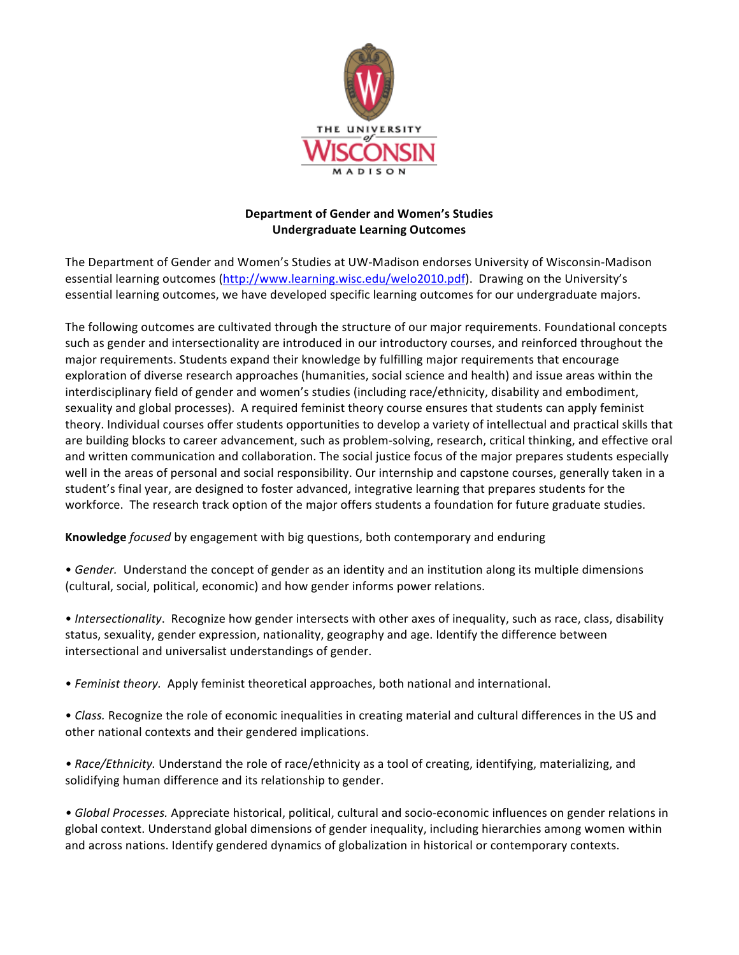

## **Department of Gender and Women's Studies Undergraduate Learning Outcomes**

The Department of Gender and Women's Studies at UW-Madison endorses University of Wisconsin-Madison essential learning outcomes (http://www.learning.wisc.edu/welo2010.pdf). Drawing on the University's essential learning outcomes, we have developed specific learning outcomes for our undergraduate majors.

The following outcomes are cultivated through the structure of our major requirements. Foundational concepts such as gender and intersectionality are introduced in our introductory courses, and reinforced throughout the major requirements. Students expand their knowledge by fulfilling major requirements that encourage exploration of diverse research approaches (humanities, social science and health) and issue areas within the interdisciplinary field of gender and women's studies (including race/ethnicity, disability and embodiment, sexuality and global processes). A required feminist theory course ensures that students can apply feminist theory. Individual courses offer students opportunities to develop a variety of intellectual and practical skills that are building blocks to career advancement, such as problem-solving, research, critical thinking, and effective oral and written communication and collaboration. The social justice focus of the major prepares students especially well in the areas of personal and social responsibility. Our internship and capstone courses, generally taken in a student's final year, are designed to foster advanced, integrative learning that prepares students for the workforce. The research track option of the major offers students a foundation for future graduate studies.

**Knowledge** *focused* by engagement with big questions, both contemporary and enduring

• Gender. Understand the concept of gender as an identity and an institution along its multiple dimensions (cultural, social, political, economic) and how gender informs power relations.

• Intersectionality. Recognize how gender intersects with other axes of inequality, such as race, class, disability status, sexuality, gender expression, nationality, geography and age. Identify the difference between intersectional and universalist understandings of gender.

• *Feminist theory.* Apply feminist theoretical approaches, both national and international.

• *Class.* Recognize the role of economic inequalities in creating material and cultural differences in the US and other national contexts and their gendered implications.

• Race/Ethnicity. Understand the role of race/ethnicity as a tool of creating, identifying, materializing, and solidifying human difference and its relationship to gender.

• *Global Processes*. Appreciate historical, political, cultural and socio-economic influences on gender relations in global context. Understand global dimensions of gender inequality, including hierarchies among women within and across nations. Identify gendered dynamics of globalization in historical or contemporary contexts.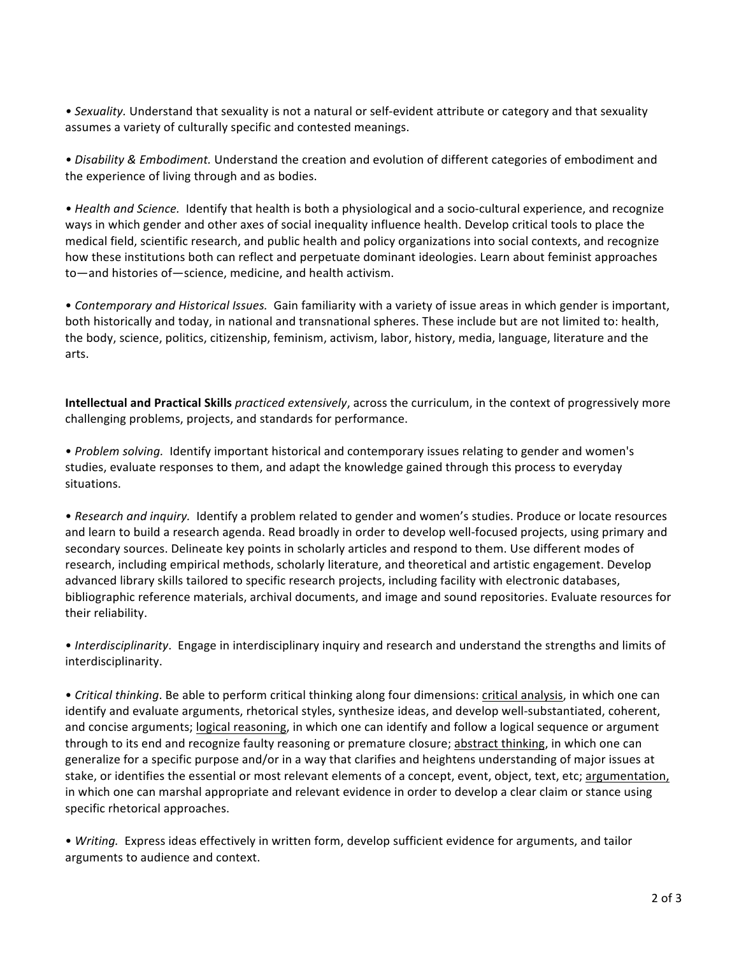• Sexuality. Understand that sexuality is not a natural or self-evident attribute or category and that sexuality assumes a variety of culturally specific and contested meanings.

• Disability & Embodiment. Understand the creation and evolution of different categories of embodiment and the experience of living through and as bodies.

• *Health* and *Science*. Identify that health is both a physiological and a socio-cultural experience, and recognize ways in which gender and other axes of social inequality influence health. Develop critical tools to place the medical field, scientific research, and public health and policy organizations into social contexts, and recognize how these institutions both can reflect and perpetuate dominant ideologies. Learn about feminist approaches to—and histories of—science, medicine, and health activism.

• *Contemporary and Historical Issues.* Gain familiarity with a variety of issue areas in which gender is important, both historically and today, in national and transnational spheres. These include but are not limited to: health, the body, science, politics, citizenship, feminism, activism, labor, history, media, language, literature and the arts. 

**Intellectual and Practical Skills** practiced extensively, across the curriculum, in the context of progressively more challenging problems, projects, and standards for performance.

• *Problem solving.* Identify important historical and contemporary issues relating to gender and women's studies, evaluate responses to them, and adapt the knowledge gained through this process to everyday situations.

• Research and inquiry. Identify a problem related to gender and women's studies. Produce or locate resources and learn to build a research agenda. Read broadly in order to develop well-focused projects, using primary and secondary sources. Delineate key points in scholarly articles and respond to them. Use different modes of research, including empirical methods, scholarly literature, and theoretical and artistic engagement. Develop advanced library skills tailored to specific research projects, including facility with electronic databases, bibliographic reference materials, archival documents, and image and sound repositories. Evaluate resources for their reliability.

• *Interdisciplinarity*. Engage in interdisciplinary inquiry and research and understand the strengths and limits of interdisciplinarity.

• *Critical thinking*. Be able to perform critical thinking along four dimensions: critical analysis, in which one can identify and evaluate arguments, rhetorical styles, synthesize ideas, and develop well-substantiated, coherent, and concise arguments; logical reasoning, in which one can identify and follow a logical sequence or argument through to its end and recognize faulty reasoning or premature closure; abstract thinking, in which one can generalize for a specific purpose and/or in a way that clarifies and heightens understanding of major issues at stake, or identifies the essential or most relevant elements of a concept, event, object, text, etc; argumentation, in which one can marshal appropriate and relevant evidence in order to develop a clear claim or stance using specific rhetorical approaches.

• *Writing.* Express ideas effectively in written form, develop sufficient evidence for arguments, and tailor arguments to audience and context.